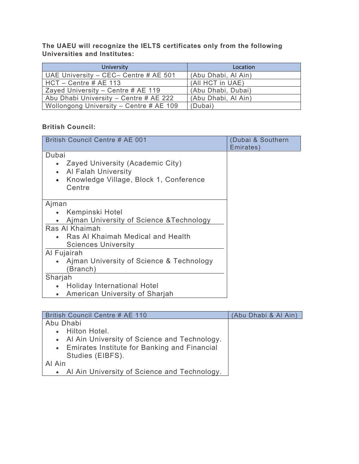**The UAEU will recognize the IELTS certificates only from the following Universities and Institutes:** 

| University                              | Location            |
|-----------------------------------------|---------------------|
| UAE University - CEC- Centre # AE 501   | (Abu Dhabi, Al Ain) |
| $HCT - Centre # AE 113$                 | (All HCT in UAE)    |
| Zayed University – Centre # AE 119      | (Abu Dhabi, Dubai)  |
| Abu Dhabi University - Centre # AE 222  | (Abu Dhabi, Al Ain) |
| Wollongong University - Centre # AE 109 | (Dubai)             |

## **British Council:**

| <b>British Council Centre # AE 001</b>                                                                                                         | (Dubai & Southern<br>Emirates) |
|------------------------------------------------------------------------------------------------------------------------------------------------|--------------------------------|
| Dubai<br>Zayed University (Academic City)<br>Al Falah University<br>$\bullet$<br>Knowledge Village, Block 1, Conference<br>$\bullet$<br>Centre |                                |
| Ajman                                                                                                                                          |                                |
| Kempinski Hotel                                                                                                                                |                                |
| Ajman University of Science & Technology                                                                                                       |                                |
| Ras Al Khaimah                                                                                                                                 |                                |
| Ras Al Khaimah Medical and Health<br><b>Sciences University</b>                                                                                |                                |
| Al Fujairah                                                                                                                                    |                                |
| Ajman University of Science & Technology<br>(Branch)                                                                                           |                                |
| Sharjah                                                                                                                                        |                                |
| <b>Holiday International Hotel</b>                                                                                                             |                                |
| American University of Sharjah<br>$\bullet$                                                                                                    |                                |

| British Council Centre # AE 110                | (Abu Dhabi & Al Ain) |
|------------------------------------------------|----------------------|
| Abu Dhabi                                      |                      |
| • Hilton Hotel.                                |                      |
| • Al Ain University of Science and Technology. |                      |
| • Emirates Institute for Banking and Financial |                      |
| Studies (EIBFS).                               |                      |
| Al Ain                                         |                      |
| • Al Ain University of Science and Technology. |                      |